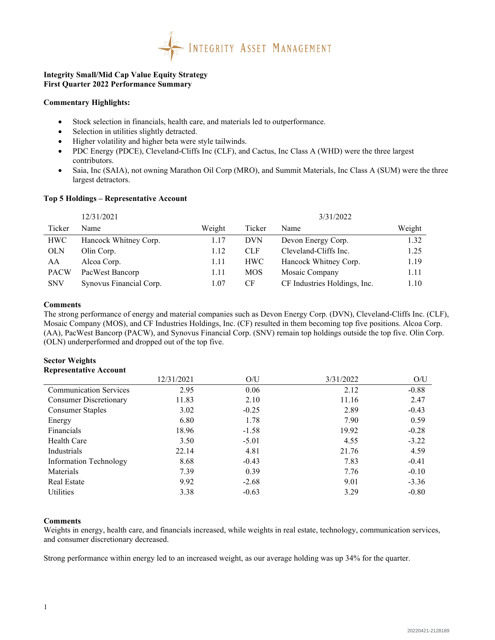

## **Integrity Small/Mid Cap Value Equity Strategy First Quarter 2022 Performance Summary**

## **Commentary Highlights:**

- Stock selection in financials, health care, and materials led to outperformance.
- Selection in utilities slightly detracted.
- Higher volatility and higher beta were style tailwinds.
- PDC Energy (PDCE), Cleveland-Cliffs Inc (CLF), and Cactus, Inc Class A (WHD) were the three largest contributors.
- Saia, Inc (SAIA), not owning Marathon Oil Corp (MRO), and Summit Materials, Inc Class A (SUM) were the three largest detractors.

## **Top 5 Holdings – Representative Account**

|             | 12/31/2021              |        |            | 3/31/2022                    |        |
|-------------|-------------------------|--------|------------|------------------------------|--------|
| Ticker      | Name                    | Weight | Ticker     | Name                         | Weight |
| <b>HWC</b>  | Hancock Whitney Corp.   | 1.17   | <b>DVN</b> | Devon Energy Corp.           | 1.32   |
| <b>OLN</b>  | Olin Corp.              | 1.12   | <b>CLF</b> | Cleveland-Cliffs Inc.        | 1.25   |
| AA          | Alcoa Corp.             | 1.11   | <b>HWC</b> | Hancock Whitney Corp.        | 1.19   |
| <b>PACW</b> | PacWest Bancorp         | 1.11   | <b>MOS</b> | Mosaic Company               | 1.11   |
| <b>SNV</b>  | Synovus Financial Corp. | 1.07   | <b>CF</b>  | CF Industries Holdings, Inc. | 1.10   |

## **Comments**

The strong performance of energy and material companies such as Devon Energy Corp. (DVN), Cleveland-Cliffs Inc. (CLF), Mosaic Company (MOS), and CF Industries Holdings, Inc. (CF) resulted in them becoming top five positions. Alcoa Corp. (AA), PacWest Bancorp (PACW), and Synovus Financial Corp. (SNV) remain top holdings outside the top five. Olin Corp. (OLN) underperformed and dropped out of the top five.

## **Sector Weights Representative Account**

|                               | 12/31/2021 | O/U     | 3/31/2022 | O/U     |
|-------------------------------|------------|---------|-----------|---------|
| <b>Communication Services</b> | 2.95       | 0.06    | 2.12      | $-0.88$ |
| <b>Consumer Discretionary</b> | 11.83      | 2.10    | 11.16     | 2.47    |
| <b>Consumer Staples</b>       | 3.02       | $-0.25$ | 2.89      | $-0.43$ |
| Energy                        | 6.80       | 1.78    | 7.90      | 0.59    |
| Financials                    | 18.96      | $-1.58$ | 19.92     | $-0.28$ |
| <b>Health Care</b>            | 3.50       | $-5.01$ | 4.55      | $-3.22$ |
| Industrials                   | 22.14      | 4.81    | 21.76     | 4.59    |
| Information Technology        | 8.68       | $-0.43$ | 7.83      | $-0.41$ |
| Materials                     | 7.39       | 0.39    | 7.76      | $-0.10$ |
| <b>Real Estate</b>            | 9.92       | $-2.68$ | 9.01      | $-3.36$ |
| Utilities                     | 3.38       | $-0.63$ | 3.29      | $-0.80$ |

## **Comments**

Weights in energy, health care, and financials increased, while weights in real estate, technology, communication services, and consumer discretionary decreased.

Strong performance within energy led to an increased weight, as our average holding was up 34% for the quarter.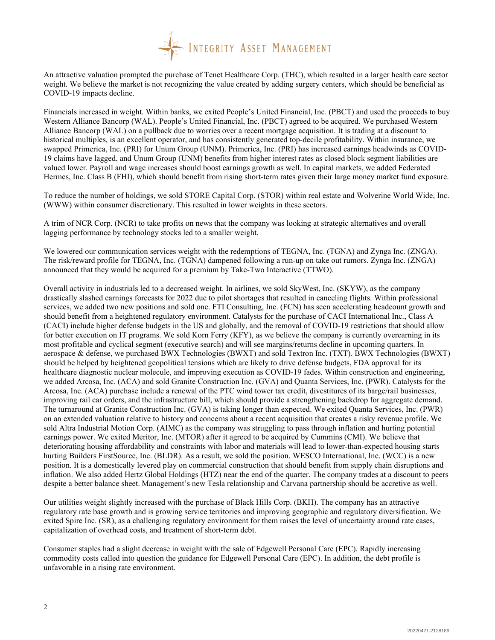

An attractive valuation prompted the purchase of Tenet Healthcare Corp. (THC), which resulted in a larger health care sector weight. We believe the market is not recognizing the value created by adding surgery centers, which should be beneficial as COVID-19 impacts decline.

Financials increased in weight. Within banks, we exited People's United Financial, Inc. (PBCT) and used the proceeds to buy Western Alliance Bancorp (WAL). People's United Financial, Inc. (PBCT) agreed to be acquired. We purchased Western Alliance Bancorp (WAL) on a pullback due to worries over a recent mortgage acquisition. It is trading at a discount to historical multiples, is an excellent operator, and has consistently generated top-decile profitability. Within insurance, we swapped Primerica, Inc. (PRI) for Unum Group (UNM). Primerica, Inc. (PRI) has increased earnings headwinds as COVID-19 claims have lagged, and Unum Group (UNM) benefits from higher interest rates as closed block segment liabilities are valued lower. Payroll and wage increases should boost earnings growth as well. In capital markets, we added Federated Hermes, Inc. Class B (FHI), which should benefit from rising short-term rates given their large money market fund exposure.

To reduce the number of holdings, we sold STORE Capital Corp. (STOR) within real estate and Wolverine World Wide, Inc. (WWW) within consumer discretionary. This resulted in lower weights in these sectors.

A trim of NCR Corp. (NCR) to take profits on news that the company was looking at strategic alternatives and overall lagging performance by technology stocks led to a smaller weight.

We lowered our communication services weight with the redemptions of TEGNA, Inc. (TGNA) and Zynga Inc. (ZNGA). The risk/reward profile for TEGNA, Inc. (TGNA) dampened following a run-up on take out rumors. Zynga Inc. (ZNGA) announced that they would be acquired for a premium by Take-Two Interactive (TTWO).

Overall activity in industrials led to a decreased weight. In airlines, we sold SkyWest, Inc. (SKYW), as the company drastically slashed earnings forecasts for 2022 due to pilot shortages that resulted in canceling flights. Within professional services, we added two new positions and sold one. FTI Consulting, Inc. (FCN) has seen accelerating headcount growth and should benefit from a heightened regulatory environment. Catalysts for the purchase of CACI International Inc., Class A (CACI) include higher defense budgets in the US and globally, and the removal of COVID-19 restrictions that should allow for better execution on IT programs. We sold Korn Ferry (KFY), as we believe the company is currently overearning in its most profitable and cyclical segment (executive search) and will see margins/returns decline in upcoming quarters. In aerospace & defense, we purchased BWX Technologies (BWXT) and sold Textron Inc. (TXT). BWX Technologies (BWXT) should be helped by heightened geopolitical tensions which are likely to drive defense budgets, FDA approval for its healthcare diagnostic nuclear molecule, and improving execution as COVID-19 fades. Within construction and engineering, we added Arcosa, Inc. (ACA) and sold Granite Construction Inc. (GVA) and Quanta Services, Inc. (PWR). Catalysts for the Arcosa, Inc. (ACA) purchase include a renewal of the PTC wind tower tax credit, divestitures of its barge/rail businesses, improving rail car orders, and the infrastructure bill, which should provide a strengthening backdrop for aggregate demand. The turnaround at Granite Construction Inc. (GVA) is taking longer than expected. We exited Quanta Services, Inc. (PWR) on an extended valuation relative to history and concerns about a recent acquisition that creates a risky revenue profile. We sold Altra Industrial Motion Corp. (AIMC) as the company was struggling to pass through inflation and hurting potential earnings power. We exited Meritor, Inc. (MTOR) after it agreed to be acquired by Cummins (CMI). We believe that deteriorating housing affordability and constraints with labor and materials will lead to lower-than-expected housing starts hurting Builders FirstSource, Inc. (BLDR). As a result, we sold the position. WESCO International, Inc. (WCC) is a new position. It is a domestically levered play on commercial construction that should benefit from supply chain disruptions and inflation. We also added Hertz Global Holdings (HTZ) near the end of the quarter. The company trades at a discount to peers despite a better balance sheet. Management's new Tesla relationship and Carvana partnership should be accretive as well.

Our utilities weight slightly increased with the purchase of Black Hills Corp. (BKH). The company has an attractive regulatory rate base growth and is growing service territories and improving geographic and regulatory diversification. We exited Spire Inc. (SR), as a challenging regulatory environment for them raises the level of uncertainty around rate cases, capitalization of overhead costs, and treatment of short-term debt.

Consumer staples had a slight decrease in weight with the sale of Edgewell Personal Care (EPC). Rapidly increasing commodity costs called into question the guidance for Edgewell Personal Care (EPC). In addition, the debt profile is unfavorable in a rising rate environment.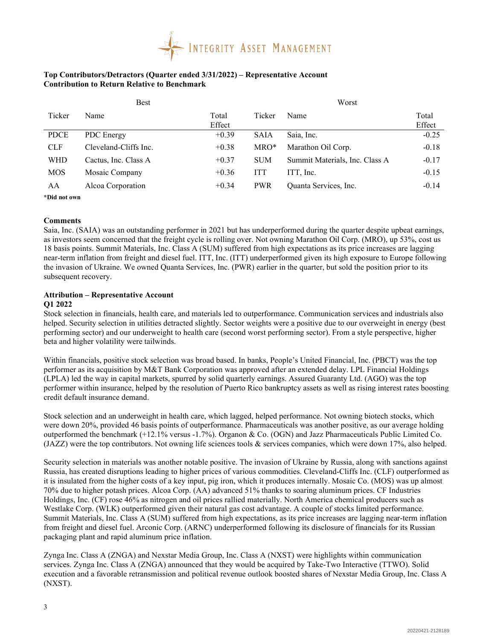

## **Top Contributors/Detractors (Quarter ended 3/31/2022) – Representative Account Contribution to Return Relative to Benchmark**

|             | <b>Best</b>           |                 |             | Worst                          |                 |
|-------------|-----------------------|-----------------|-------------|--------------------------------|-----------------|
| Ticker      | Name                  | Total<br>Effect | Ticker      | Name                           | Total<br>Effect |
| <b>PDCE</b> | <b>PDC</b> Energy     | $+0.39$         | <b>SAIA</b> | Saia, Inc.                     | $-0.25$         |
| <b>CLF</b>  | Cleveland-Cliffs Inc. | $+0.38$         | $MRO*$      | Marathon Oil Corp.             | $-0.18$         |
| <b>WHD</b>  | Cactus, Inc. Class A  | $+0.37$         | <b>SUM</b>  | Summit Materials, Inc. Class A | $-0.17$         |
| <b>MOS</b>  | Mosaic Company        | $+0.36$         | <b>ITT</b>  | ITT. Inc.                      | $-0.15$         |
| AA          | Alcoa Corporation     | $+0.34$         | <b>PWR</b>  | Quanta Services, Inc.          | $-0.14$         |

**\*Did not own**

## **Comments**

Saia, Inc. (SAIA) was an outstanding performer in 2021 but has underperformed during the quarter despite upbeat earnings, as investors seem concerned that the freight cycle is rolling over. Not owning Marathon Oil Corp. (MRO), up 53%, cost us 18 basis points. Summit Materials, Inc. Class A (SUM) suffered from high expectations as its price increases are lagging near-term inflation from freight and diesel fuel. ITT, Inc. (ITT) underperformed given its high exposure to Europe following the invasion of Ukraine. We owned Quanta Services, Inc. (PWR) earlier in the quarter, but sold the position prior to its subsequent recovery.

# **Attribution – Representative Account**

## **Q1 2022**

Stock selection in financials, health care, and materials led to outperformance. Communication services and industrials also helped. Security selection in utilities detracted slightly. Sector weights were a positive due to our overweight in energy (best performing sector) and our underweight to health care (second worst performing sector). From a style perspective, higher beta and higher volatility were tailwinds.

Within financials, positive stock selection was broad based. In banks, People's United Financial, Inc. (PBCT) was the top performer as its acquisition by M&T Bank Corporation was approved after an extended delay. LPL Financial Holdings (LPLA) led the way in capital markets, spurred by solid quarterly earnings. Assured Guaranty Ltd. (AGO) was the top performer within insurance, helped by the resolution of Puerto Rico bankruptcy assets as well as rising interest rates boosting credit default insurance demand.

Stock selection and an underweight in health care, which lagged, helped performance. Not owning biotech stocks, which were down 20%, provided 46 basis points of outperformance. Pharmaceuticals was another positive, as our average holding outperformed the benchmark (+12.1% versus -1.7%). Organon & Co. (OGN) and Jazz Pharmaceuticals Public Limited Co. (JAZZ) were the top contributors. Not owning life sciences tools & services companies, which were down 17%, also helped.

Security selection in materials was another notable positive. The invasion of Ukraine by Russia, along with sanctions against Russia, has created disruptions leading to higher prices of various commodities. Cleveland-Cliffs Inc. (CLF) outperformed as it is insulated from the higher costs of a key input, pig iron, which it produces internally. Mosaic Co. (MOS) was up almost 70% due to higher potash prices. Alcoa Corp. (AA) advanced 51% thanks to soaring aluminum prices. CF Industries Holdings, Inc. (CF) rose 46% as nitrogen and oil prices rallied materially. North America chemical producers such as Westlake Corp. (WLK) outperformed given their natural gas cost advantage. A couple of stocks limited performance. Summit Materials, Inc. Class A (SUM) suffered from high expectations, as its price increases are lagging near-term inflation from freight and diesel fuel. Arconic Corp. (ARNC) underperformed following its disclosure of financials for its Russian packaging plant and rapid aluminum price inflation.

Zynga Inc. Class A (ZNGA) and Nexstar Media Group, Inc. Class A (NXST) were highlights within communication services. Zynga Inc. Class A (ZNGA) announced that they would be acquired by Take-Two Interactive (TTWO). Solid execution and a favorable retransmission and political revenue outlook boosted shares of Nexstar Media Group, Inc. Class A (NXST).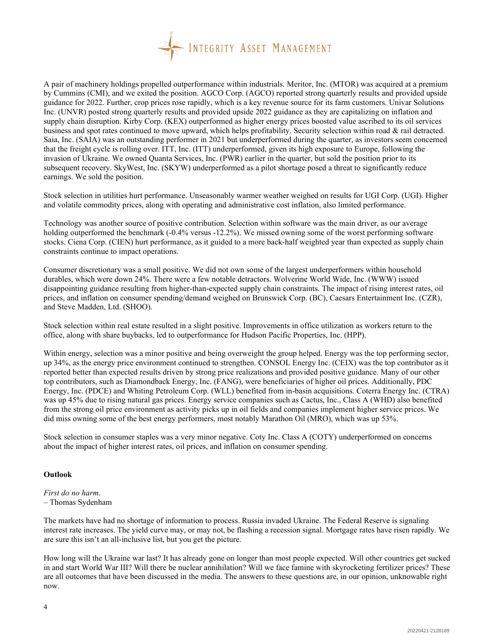

A pair of machinery holdings propelled outperformance within industrials. Meritor, Inc. (MTOR) was acquired at a premium by Cummins (CMI), and we exited the position. AGCO Corp. (AGCO) reported strong quarterly results and provided upside guidance for 2022. Further, crop prices rose rapidly, which is a key revenue source for its farm customers. Univar Solutions Inc. (UNVR) posted strong quarterly results and provided upside 2022 guidance as they are capitalizing on inflation and supply chain disruption. Kirby Corp. (KEX) outperformed as higher energy prices boosted value ascribed to its oil services business and spot rates continued to move upward, which helps profitability. Security selection within road & rail detracted. Saia, Inc. (SAIA) was an outstanding performer in 2021 but underperformed during the quarter, as investors seem concerned that the freight cycle is rolling over. ITT, Inc. (ITT) underperformed, given its high exposure to Europe, following the invasion of Ukraine. We owned Quanta Services, Inc. (PWR) earlier in the quarter, but sold the position prior to its subsequent recovery. SkyWest, Inc. (SKYW) underperformed as a pilot shortage posed a threat to significantly reduce earnings. We sold the position.

Stock selection in utilities hurt performance. Unseasonably warmer weather weighed on results for UGI Corp. (UGI). Higher and volatile commodity prices, along with operating and administrative cost inflation, also limited performance.

Technology was another source of positive contribution. Selection within software was the main driver, as our average holding outperformed the benchmark (-0.4% versus -12.2%). We missed owning some of the worst performing software stocks. Ciena Corp. (CIEN) hurt performance, as it guided to a more back-half weighted year than expected as supply chain constraints continue to impact operations.

Consumer discretionary was a small positive. We did not own some of the largest underperformers within household durables, which were down 24%. There were a few notable detractors. Wolverine World Wide, Inc. (WWW) issued disappointing guidance resulting from higher-than-expected supply chain constraints. The impact of rising interest rates, oil prices, and inflation on consumer spending/demand weighed on Brunswick Corp. (BC), Caesars Entertainment Inc. (CZR), and Steve Madden, Ltd. (SHOO).

Stock selection within real estate resulted in a slight positive. Improvements in office utilization as workers return to the office, along with share buybacks, led to outperformance for Hudson Pacific Properties, Inc. (HPP).

Within energy, selection was a minor positive and being overweight the group helped. Energy was the top performing sector, up 34%, as the energy price environment continued to strengthen. CONSOL Energy Inc. (CEIX) was the top contributor as it reported better than expected results driven by strong price realizations and provided positive guidance. Many of our other top contributors, such as Diamondback Energy, Inc. (FANG), were beneficiaries of higher oil prices. Additionally, PDC Energy, Inc. (PDCE) and Whiting Petroleum Corp. (WLL) benefited from in-basin acquisitions. Coterra Energy Inc. (CTRA) was up 45% due to rising natural gas prices. Energy service companies such as Cactus, Inc., Class A (WHD) also benefited from the strong oil price environment as activity picks up in oil fields and companies implement higher service prices. We did miss owning some of the best energy performers, most notably Marathon Oil (MRO), which was up 53%.

Stock selection in consumer staples was a very minor negative. Coty Inc. Class A (COTY) underperformed on concerns about the impact of higher interest rates, oil prices, and inflation on consumer spending.

## **Outlook**

*First do no harm*. – Thomas Sydenham

The markets have had no shortage of information to process. Russia invaded Ukraine. The Federal Reserve is signaling interest rate increases. The yield curve may, or may not, be flashing a recession signal. Mortgage rates have risen rapidly. We are sure this isn't an all-inclusive list, but you get the picture.

How long will the Ukraine war last? It has already gone on longer than most people expected. Will other countries get sucked in and start World War III? Will there be nuclear annihilation? Will we face famine with skyrocketing fertilizer prices? These are all outcomes that have been discussed in the media. The answers to these questions are, in our opinion, unknowable right now.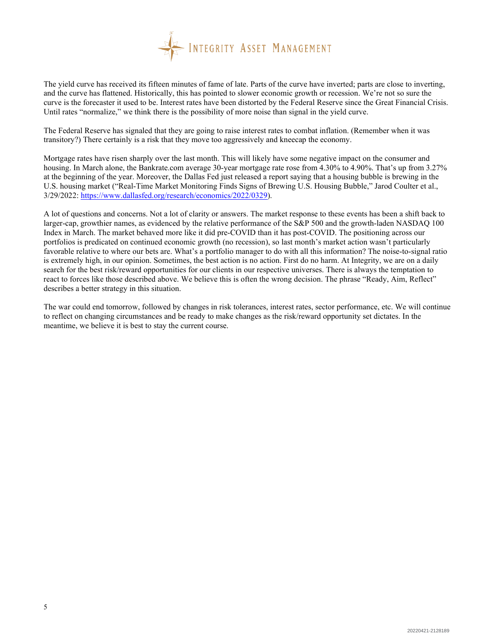

The yield curve has received its fifteen minutes of fame of late. Parts of the curve have inverted; parts are close to inverting, and the curve has flattened. Historically, this has pointed to slower economic growth or recession. We're not so sure the curve is the forecaster it used to be. Interest rates have been distorted by the Federal Reserve since the Great Financial Crisis. Until rates "normalize," we think there is the possibility of more noise than signal in the yield curve.

The Federal Reserve has signaled that they are going to raise interest rates to combat inflation. (Remember when it was transitory?) There certainly is a risk that they move too aggressively and kneecap the economy.

Mortgage rates have risen sharply over the last month. This will likely have some negative impact on the consumer and housing. In March alone, the Bankrate.com average 30-year mortgage rate rose from 4.30% to 4.90%. That's up from 3.27% at the beginning of the year. Moreover, the Dallas Fed just released a report saying that a housing bubble is brewing in the U.S. housing market ("Real-Time Market Monitoring Finds Signs of Brewing U.S. Housing Bubble," Jarod Coulter et al., 3/29/2022: [https://www.dallasfed.org/research/economics/2022/0329\)](https://www.dallasfed.org/research/economics/2022/0329).

A lot of questions and concerns. Not a lot of clarity or answers. The market response to these events has been a shift back to larger-cap, growthier names, as evidenced by the relative performance of the S&P 500 and the growth-laden NASDAQ 100 Index in March. The market behaved more like it did pre-COVID than it has post-COVID. The positioning across our portfolios is predicated on continued economic growth (no recession), so last month's market action wasn't particularly favorable relative to where our bets are. What's a portfolio manager to do with all this information? The noise-to-signal ratio is extremely high, in our opinion. Sometimes, the best action is no action. First do no harm. At Integrity, we are on a daily search for the best risk/reward opportunities for our clients in our respective universes. There is always the temptation to react to forces like those described above. We believe this is often the wrong decision. The phrase "Ready, Aim, Reflect" describes a better strategy in this situation.

The war could end tomorrow, followed by changes in risk tolerances, interest rates, sector performance, etc. We will continue to reflect on changing circumstances and be ready to make changes as the risk/reward opportunity set dictates. In the meantime, we believe it is best to stay the current course.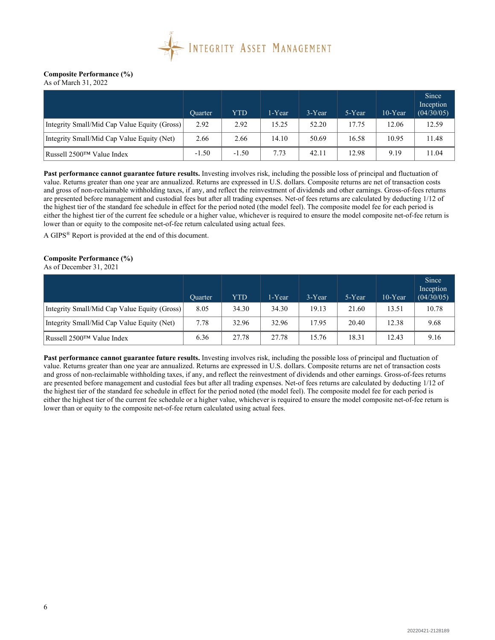

## **Composite Performance (%)**

As of March 31, 2022

|                                              | Ouarter. | <b>YTD</b> | 1-Year | 3-Year | 5-Year | $10-Year$ | Since<br>Inception<br>(04/30/05) |
|----------------------------------------------|----------|------------|--------|--------|--------|-----------|----------------------------------|
| Integrity Small/Mid Cap Value Equity (Gross) | 2.92     | 2.92       | 15.25  | 52.20  | 17.75  | 12.06     | 12.59                            |
| Integrity Small/Mid Cap Value Equity (Net)   | 2.66     | 2.66       | 14.10  | 50.69  | 16.58  | 10.95     | 11.48                            |
| Russell $2500^{TM}$ Value Index              | $-1.50$  | $-1.50$    | 7.73   | 42.11  | 12.98  | 9.19      | 11.04                            |

**Past performance cannot guarantee future results.** Investing involves risk, including the possible loss of principal and fluctuation of value. Returns greater than one year are annualized. Returns are expressed in U.S. dollars. Composite returns are net of transaction costs and gross of non-reclaimable withholding taxes, if any, and reflect the reinvestment of dividends and other earnings. Gross-of-fees returns are presented before management and custodial fees but after all trading expenses. Net-of fees returns are calculated by deducting 1/12 of the highest tier of the standard fee schedule in effect for the period noted (the model feel). The composite model fee for each period is either the highest tier of the current fee schedule or a higher value, whichever is required to ensure the model composite net-of-fee return is lower than or equity to the composite net-of-fee return calculated using actual fees.

A GIPS® Report is provided at the end of this document.

## **Composite Performance (%)**

As of December 31, 2021

|                                              | <b>Quarter</b> | <b>YTD</b> | l-Year | 3-Year | 5-Year | $10-Year$ | Since<br>Inception<br>(04/30/05) |
|----------------------------------------------|----------------|------------|--------|--------|--------|-----------|----------------------------------|
| Integrity Small/Mid Cap Value Equity (Gross) | 8.05           | 34.30      | 34.30  | 19.13  | 21.60  | 13.51     | 10.78                            |
| Integrity Small/Mid Cap Value Equity (Net)   | 7.78           | 32.96      | 32.96  | 17.95  | 20.40  | 12.38     | 9.68                             |
| Russell 2500™ Value Index                    | 6.36           | 27.78      | 27.78  | 15.76  | 18.31  | 12.43     | 9.16                             |

**Past performance cannot guarantee future results.** Investing involves risk, including the possible loss of principal and fluctuation of value. Returns greater than one year are annualized. Returns are expressed in U.S. dollars. Composite returns are net of transaction costs and gross of non-reclaimable withholding taxes, if any, and reflect the reinvestment of dividends and other earnings. Gross-of-fees returns are presented before management and custodial fees but after all trading expenses. Net-of fees returns are calculated by deducting 1/12 of the highest tier of the standard fee schedule in effect for the period noted (the model feel). The composite model fee for each period is either the highest tier of the current fee schedule or a higher value, whichever is required to ensure the model composite net-of-fee return is lower than or equity to the composite net-of-fee return calculated using actual fees.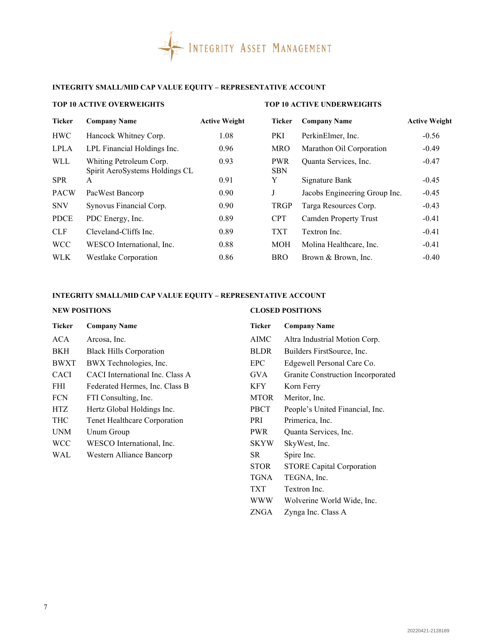

## **INTEGRITY SMALL/MID CAP VALUE EQUITY – REPRESENTATIVE ACCOUNT**

## **TOP 10 ACTIVE OVERWEIGHTS TOP 10 ACTIVE UNDERWEIGHTS**

| <b>Ticker</b> | <b>Company Name</b>                                       | <b>Active Weight</b> | Ticker                   | <b>Company Name</b>           | <b>Active Weight</b> |
|---------------|-----------------------------------------------------------|----------------------|--------------------------|-------------------------------|----------------------|
| <b>HWC</b>    | Hancock Whitney Corp.                                     | 1.08                 | PKI                      | PerkinElmer, Inc.             | $-0.56$              |
| <b>LPLA</b>   | LPL Financial Holdings Inc.                               | 0.96                 | <b>MRO</b>               | Marathon Oil Corporation      | $-0.49$              |
| <b>WLL</b>    | Whiting Petroleum Corp.<br>Spirit AeroSystems Holdings CL | 0.93                 | <b>PWR</b><br><b>SBN</b> | Quanta Services, Inc.         | $-0.47$              |
| <b>SPR</b>    | A                                                         | 0.91                 | Y                        | Signature Bank                | $-0.45$              |
| <b>PACW</b>   | PacWest Bancorp                                           | 0.90                 | J                        | Jacobs Engineering Group Inc. | $-0.45$              |
| <b>SNV</b>    | Synovus Financial Corp.                                   | 0.90                 | <b>TRGP</b>              | Targa Resources Corp.         | $-0.43$              |
| <b>PDCE</b>   | PDC Energy, Inc.                                          | 0.89                 | <b>CPT</b>               | <b>Camden Property Trust</b>  | $-0.41$              |
| <b>CLF</b>    | Cleveland-Cliffs Inc.                                     | 0.89                 | <b>TXT</b>               | Textron Inc.                  | $-0.41$              |
| <b>WCC</b>    | WESCO International, Inc.                                 | 0.88                 | <b>MOH</b>               | Molina Healthcare, Inc.       | $-0.41$              |
| <b>WLK</b>    | <b>Westlake Corporation</b>                               | 0.86                 | <b>BRO</b>               | Brown & Brown, Inc.           | $-0.40$              |

## **INTEGRITY SMALL/MID CAP VALUE EQUITY – REPRESENTATIVE ACCOUNT**

## **NEW POSITIONS CLOSED POSITIONS**

| Ticker | <b>Company Name</b>             | <b>Ticker</b> | <b>Company Name</b>               |
|--------|---------------------------------|---------------|-----------------------------------|
| ACA    | Arcosa, Inc.                    | AIMC          | Altra Industrial Motion Corp.     |
| BKH    | <b>Black Hills Corporation</b>  | <b>BLDR</b>   | Builders FirstSource, Inc.        |
| BWXT   | BWX Technologies, Inc.          | EPC           | Edgewell Personal Care Co.        |
| CACI   | CACI International Inc. Class A | <b>GVA</b>    | Granite Construction Incorporated |
| FHI    | Federated Hermes, Inc. Class B  | KFY.          | Korn Ferry                        |
| FCN    | FTI Consulting, Inc.            | <b>MTOR</b>   | Meritor, Inc.                     |
| HTZ    | Hertz Global Holdings Inc.      | <b>PBCT</b>   | People's United Financial, Inc.   |
| THC    | Tenet Healthcare Corporation    | PRI           | Primerica, Inc.                   |
| UNM    | Unum Group                      | <b>PWR</b>    | Quanta Services, Inc.             |
| WCC-   | WESCO International, Inc.       | <b>SKYW</b>   | SkyWest, Inc.                     |
| WAL    | Western Alliance Bancorp        | SR            | Spire Inc.                        |
|        |                                 | <b>STOR</b>   | <b>STORE Capital Corporation</b>  |
|        |                                 | TGNA          | TEGNA, Inc.                       |
|        |                                 | <b>TXT</b>    | Textron Inc.                      |
|        |                                 |               |                                   |

## WWW Wolverine World Wide, Inc.

ZNGA Zynga Inc. Class A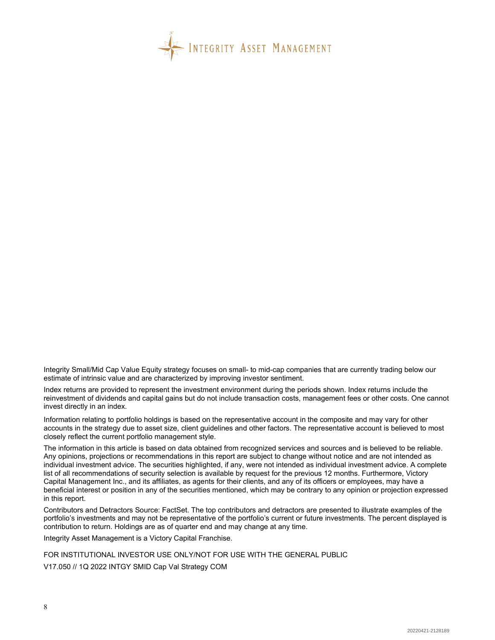

Integrity Small/Mid Cap Value Equity strategy focuses on small- to mid-cap companies that are currently trading below our estimate of intrinsic value and are characterized by improving investor sentiment.

Index returns are provided to represent the investment environment during the periods shown. Index returns include the reinvestment of dividends and capital gains but do not include transaction costs, management fees or other costs. One cannot invest directly in an index.

Information relating to portfolio holdings is based on the representative account in the composite and may vary for other accounts in the strategy due to asset size, client guidelines and other factors. The representative account is believed to most closely reflect the current portfolio management style.

The information in this article is based on data obtained from recognized services and sources and is believed to be reliable. Any opinions, projections or recommendations in this report are subject to change without notice and are not intended as individual investment advice. The securities highlighted, if any, were not intended as individual investment advice. A complete list of all recommendations of security selection is available by request for the previous 12 months. Furthermore, Victory Capital Management Inc., and its affiliates, as agents for their clients, and any of its officers or employees, may have a beneficial interest or position in any of the securities mentioned, which may be contrary to any opinion or projection expressed in this report.

Contributors and Detractors Source: FactSet. The top contributors and detractors are presented to illustrate examples of the portfolio's investments and may not be representative of the portfolio's current or future investments. The percent displayed is contribution to return. Holdings are as of quarter end and may change at any time.

Integrity Asset Management is a Victory Capital Franchise.

FOR INSTITUTIONAL INVESTOR USE ONLY/NOT FOR USE WITH THE GENERAL PUBLIC V17.050 // 1Q 2022 INTGY SMID Cap Val Strategy COM